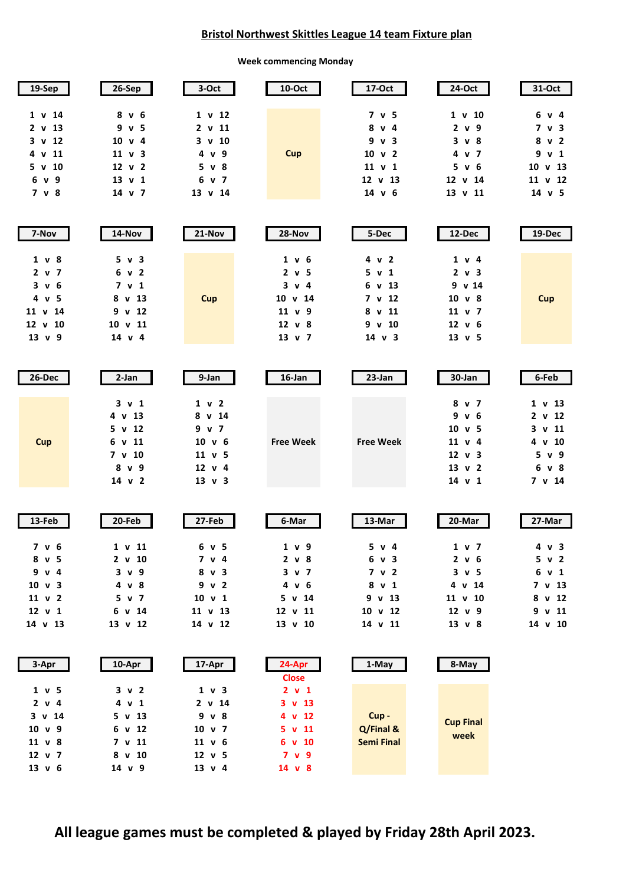## **Bristol Northwest Skittles League 14 team Fixture plan**

**Week commencing Monday**

| 19-Sep                                                                      | 26-Sep                                                                                              | 3-Oct                                                                                 | 10-Oct                                                                                   | 17-Oct                                                                      | 24-Oct                                                                                     | 31-Oct                                                                             |
|-----------------------------------------------------------------------------|-----------------------------------------------------------------------------------------------------|---------------------------------------------------------------------------------------|------------------------------------------------------------------------------------------|-----------------------------------------------------------------------------|--------------------------------------------------------------------------------------------|------------------------------------------------------------------------------------|
| 1 v 14<br>2 v 13<br>3<br>v 12<br>v 11<br>4<br>5 v 10<br>9<br>6 v<br>7 v 8   | 8 v 6<br>9 v 5<br>$10 \times 4$<br>$11 \vee 3$<br>$12 \vee 2$<br>$13 \text{ v } 1$<br>$14 \times 7$ | 1 v 12<br>2 v 11<br>$3 \text{ v } 10$<br>4 v 9<br>$5 \vee 8$<br>6 v 7<br>13 v 14      | Cup                                                                                      | 7 v 5<br>8 v 4<br>9 v 3<br>10 v 2<br>11 v 1<br>12 v 13<br>$14 \times 6$     | 1 v 10<br>2 v 9<br>$3 \vee 8$<br>4 v 7<br>5 v 6<br>12 v 14<br>13 v 11                      | 6 v 4<br>7 v 3<br>8 v 2<br>9 v 1<br>$10 \times 13$<br>11 v 12<br>$14 \text{ v } 5$ |
| 7-Nov                                                                       | 14-Nov                                                                                              | 21-Nov                                                                                | 28-Nov                                                                                   | 5-Dec                                                                       | 12-Dec                                                                                     | 19-Dec                                                                             |
| 1 v 8<br>2 v 7<br>3 v 6<br>4 v 5<br>11 v 14<br>12 v 10<br>$13 \text{ v} 9$  | 5 v 3<br>6 v 2<br>7 v 1<br>8 v 13<br>9 v 12<br>10 v 11<br>$14 \times 4$                             | <b>Cup</b>                                                                            | 1 v 6<br>2 v 5<br>3 v 4<br>$10 \times 14$<br>11 v 9<br>$12 \times 8$<br>$13 \text{ v}$ 7 | 4 v 2<br>5 v 1<br>6 v 13<br>7 v 12<br>8 v 11<br>9 v 10<br>$14 \text{ v } 3$ | $1 \vee 4$<br>2 v 3<br>9 v 14<br>10 v 8<br>$11 \vee 7$<br>12 v 6<br>$13 \text{ v } 5$      | <b>Cup</b>                                                                         |
| 26-Dec                                                                      | 2-Jan                                                                                               | 9-Jan                                                                                 | 16-Jan                                                                                   | 23-Jan                                                                      | 30-Jan                                                                                     | 6-Feb                                                                              |
| <b>Cup</b>                                                                  | $3 \vee 1$<br>4 v 13<br>5 v 12<br>6 v 11<br>7 v 10<br>8 v 9<br>$14 \text{ v } 2$                    | 1 v 2<br>8 v 14<br>9 v 7<br>$10 \text{ v} 6$<br>11 v 5<br>$12 \text{ v} 4$<br>13 v 3  | <b>Free Week</b>                                                                         | <b>Free Week</b>                                                            | 8 v 7<br>9 v 6<br>$10 \text{ v} 5$<br>11 v 4<br>$12 \vee 3$<br>$13 \text{ v } 2$<br>14 v 1 | 1 v 13<br>2 v 12<br>$3 \text{ v } 11$<br>4 v 10<br>5 v 9<br>6 v 8<br>7 v 14        |
| 13-Feb                                                                      | 20-Feb                                                                                              | 27-Feb                                                                                | 6-Mar                                                                                    | 13-Mar                                                                      | 20-Mar                                                                                     | 27-Mar                                                                             |
| 7 v 6<br>8 v 5<br>9 v 4<br>$10 \text{ v } 3$<br>11 v 2<br>12 v 1<br>14 v 13 | 1 v 11<br>2 v 10<br>3 v 9<br>4 v 8<br>5 v 7<br>6 v 14<br>13 v 12                                    | 6 v 5<br>7 v 4<br>8 v 3<br>9 v 2<br>$10 \text{ v } 1$<br>11 v 13<br>14 v 12           | 1 v 9<br>2 v 8<br>3 v 7<br>4 v 6<br>5 v 14<br>12 v 11<br>13 v 10                         | 5 v 4<br>6 v 3<br>7 v 2<br>8 v 1<br>9 v 13<br>10 v 12<br>14 v 11            | 1 v 7<br>2 v 6<br>$3 \vee 5$<br>4 v 14<br>11 v 10<br>$12 \times 9$<br>$13 \text{ v} 8$     | 4 v 3<br>5 v 2<br>6 v 1<br>7 v 13<br>8 v 12<br>$9$ v 11<br>14 v 10                 |
| 3-Apr                                                                       | 10-Apr                                                                                              | 17-Apr                                                                                | 24-Apr<br><b>Close</b>                                                                   | 1-May                                                                       | 8-May                                                                                      |                                                                                    |
| 1 v 5<br>2 v 4<br>$3 \text{ v } 14$<br>10 v 9<br>11 v 8<br>12 v 7<br>13 v 6 | 3 v 2<br>4 v 1<br>$5 \text{ v } 13$<br>6 v 12<br>7 v 11<br>8 v 10<br>14 v 9                         | 1 v 3<br>2 v 14<br>9 v 8<br>$10 \text{ v}$ 7<br>11 v 6<br>$12 \text{ v } 5$<br>13 v 4 | 2 v 1<br>$3 \text{ v } 13$<br>4 v 12<br>$5 \text{ v } 11$<br>6 v 10<br>7 v 9<br>14 v 8   | Cup-<br>Q/Final &<br><b>Semi Final</b>                                      | <b>Cup Final</b><br>week                                                                   |                                                                                    |

**All league games must be completed & played by Friday 28th April 2023.**